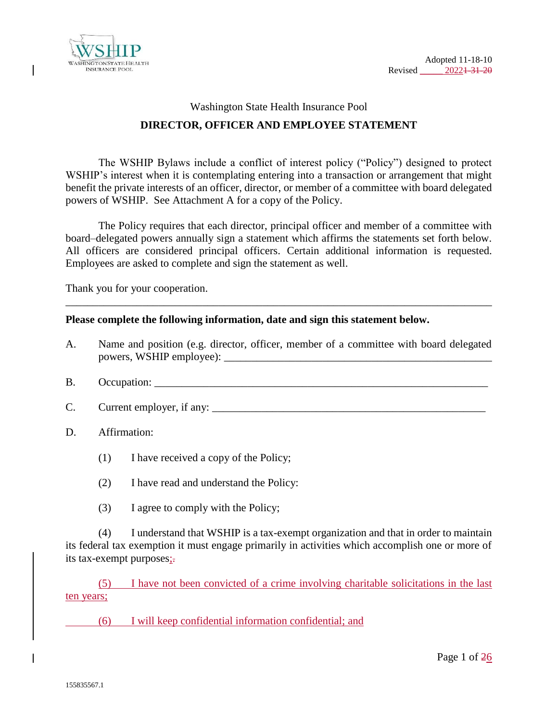



# Washington State Health Insurance Pool **DIRECTOR, OFFICER AND EMPLOYEE STATEMENT**

The WSHIP Bylaws include a conflict of interest policy ("Policy") designed to protect WSHIP's interest when it is contemplating entering into a transaction or arrangement that might benefit the private interests of an officer, director, or member of a committee with board delegated powers of WSHIP. See Attachment A for a copy of the Policy.

The Policy requires that each director, principal officer and member of a committee with board–delegated powers annually sign a statement which affirms the statements set forth below. All officers are considered principal officers. Certain additional information is requested. Employees are asked to complete and sign the statement as well.

Thank you for your cooperation.

#### **Please complete the following information, date and sign this statement below.**

A. Name and position (e.g. director, officer, member of a committee with board delegated powers, WSHIP employee): \_\_\_\_\_\_\_\_\_\_\_\_\_\_\_\_\_\_\_\_\_\_\_\_\_\_\_\_\_\_\_\_\_\_\_\_\_\_\_\_\_\_\_\_\_\_\_\_\_

\_\_\_\_\_\_\_\_\_\_\_\_\_\_\_\_\_\_\_\_\_\_\_\_\_\_\_\_\_\_\_\_\_\_\_\_\_\_\_\_\_\_\_\_\_\_\_\_\_\_\_\_\_\_\_\_\_\_\_\_\_\_\_\_\_\_\_\_\_\_\_\_\_\_\_\_\_\_

- B. Occupation:
- C. Current employer, if any:
- D. Affirmation:
	- (1) I have received a copy of the Policy;
	- (2) I have read and understand the Policy:
	- (3) I agree to comply with the Policy;

(4) I understand that WSHIP is a tax-exempt organization and that in order to maintain its federal tax exemption it must engage primarily in activities which accomplish one or more of its tax-exempt purposes;.

(5) I have not been convicted of a crime involving charitable solicitations in the last ten years;

(6) I will keep confidential information confidential; and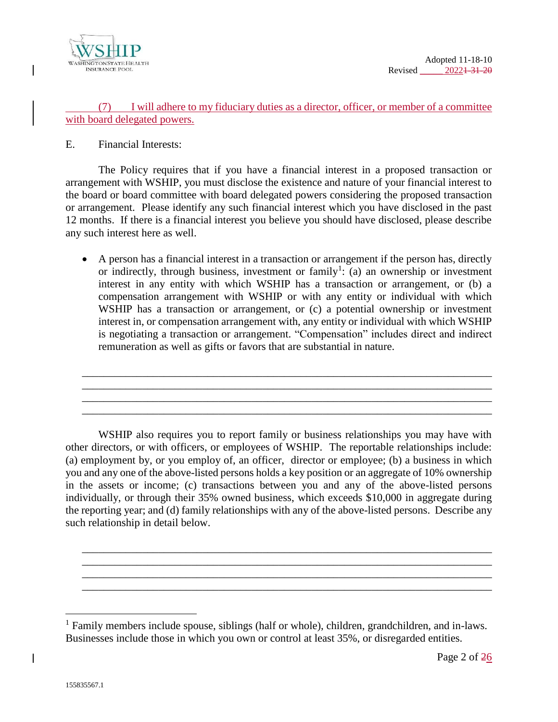

#### (7) I will adhere to my fiduciary duties as a director, officer, or member of a committee with board delegated powers.

E. Financial Interests:

The Policy requires that if you have a financial interest in a proposed transaction or arrangement with WSHIP, you must disclose the existence and nature of your financial interest to the board or board committee with board delegated powers considering the proposed transaction or arrangement. Please identify any such financial interest which you have disclosed in the past 12 months. If there is a financial interest you believe you should have disclosed, please describe any such interest here as well.

 A person has a financial interest in a transaction or arrangement if the person has, directly or indirectly, through business, investment or family<sup>1</sup>: (a) an ownership or investment interest in any entity with which WSHIP has a transaction or arrangement, or (b) a compensation arrangement with WSHIP or with any entity or individual with which WSHIP has a transaction or arrangement, or (c) a potential ownership or investment interest in, or compensation arrangement with, any entity or individual with which WSHIP is negotiating a transaction or arrangement. "Compensation" includes direct and indirect remuneration as well as gifts or favors that are substantial in nature.

\_\_\_\_\_\_\_\_\_\_\_\_\_\_\_\_\_\_\_\_\_\_\_\_\_\_\_\_\_\_\_\_\_\_\_\_\_\_\_\_\_\_\_\_\_\_\_\_\_\_\_\_\_\_\_\_\_\_\_\_\_\_\_\_\_\_\_\_\_\_\_\_\_\_\_ \_\_\_\_\_\_\_\_\_\_\_\_\_\_\_\_\_\_\_\_\_\_\_\_\_\_\_\_\_\_\_\_\_\_\_\_\_\_\_\_\_\_\_\_\_\_\_\_\_\_\_\_\_\_\_\_\_\_\_\_\_\_\_\_\_\_\_\_\_\_\_\_\_\_\_ \_\_\_\_\_\_\_\_\_\_\_\_\_\_\_\_\_\_\_\_\_\_\_\_\_\_\_\_\_\_\_\_\_\_\_\_\_\_\_\_\_\_\_\_\_\_\_\_\_\_\_\_\_\_\_\_\_\_\_\_\_\_\_\_\_\_\_\_\_\_\_\_\_\_\_ \_\_\_\_\_\_\_\_\_\_\_\_\_\_\_\_\_\_\_\_\_\_\_\_\_\_\_\_\_\_\_\_\_\_\_\_\_\_\_\_\_\_\_\_\_\_\_\_\_\_\_\_\_\_\_\_\_\_\_\_\_\_\_\_\_\_\_\_\_\_\_\_\_\_\_

WSHIP also requires you to report family or business relationships you may have with other directors, or with officers, or employees of WSHIP. The reportable relationships include: (a) employment by, or you employ of, an officer, director or employee; (b) a business in which you and any one of the above-listed persons holds a key position or an aggregate of 10% ownership in the assets or income; (c) transactions between you and any of the above-listed persons individually, or through their 35% owned business, which exceeds \$10,000 in aggregate during the reporting year; and (d) family relationships with any of the above-listed persons. Describe any such relationship in detail below.

\_\_\_\_\_\_\_\_\_\_\_\_\_\_\_\_\_\_\_\_\_\_\_\_\_\_\_\_\_\_\_\_\_\_\_\_\_\_\_\_\_\_\_\_\_\_\_\_\_\_\_\_\_\_\_\_\_\_\_\_\_\_\_\_\_\_\_\_\_\_\_\_\_\_\_ \_\_\_\_\_\_\_\_\_\_\_\_\_\_\_\_\_\_\_\_\_\_\_\_\_\_\_\_\_\_\_\_\_\_\_\_\_\_\_\_\_\_\_\_\_\_\_\_\_\_\_\_\_\_\_\_\_\_\_\_\_\_\_\_\_\_\_\_\_\_\_\_\_\_\_ \_\_\_\_\_\_\_\_\_\_\_\_\_\_\_\_\_\_\_\_\_\_\_\_\_\_\_\_\_\_\_\_\_\_\_\_\_\_\_\_\_\_\_\_\_\_\_\_\_\_\_\_\_\_\_\_\_\_\_\_\_\_\_\_\_\_\_\_\_\_\_\_\_\_\_ \_\_\_\_\_\_\_\_\_\_\_\_\_\_\_\_\_\_\_\_\_\_\_\_\_\_\_\_\_\_\_\_\_\_\_\_\_\_\_\_\_\_\_\_\_\_\_\_\_\_\_\_\_\_\_\_\_\_\_\_\_\_\_\_\_\_\_\_\_\_\_\_\_\_\_

 $\overline{a}$ 

<sup>&</sup>lt;sup>1</sup> Family members include spouse, siblings (half or whole), children, grandchildren, and in-laws. Businesses include those in which you own or control at least 35%, or disregarded entities.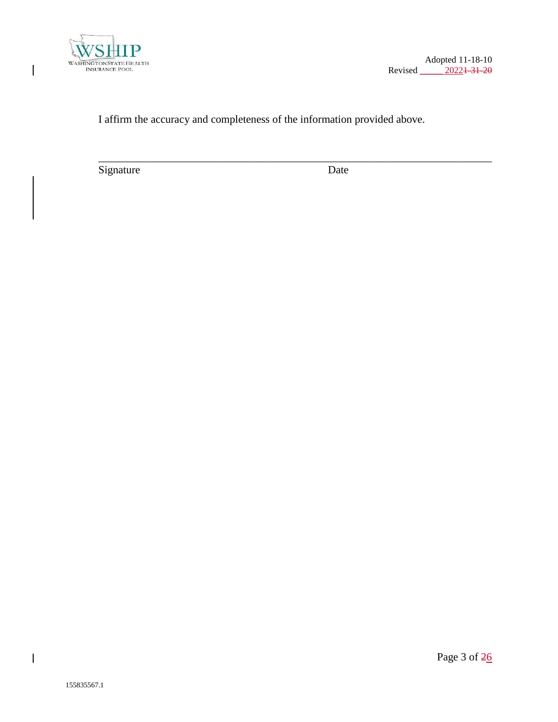

 $\overline{\phantom{a}}$ 

Adopted 11-18-10 Revised 20221-31-20

### I affirm the accuracy and completeness of the information provided above.

\_\_\_\_\_\_\_\_\_\_\_\_\_\_\_\_\_\_\_\_\_\_\_\_\_\_\_\_\_\_\_\_\_\_\_\_\_\_\_\_\_\_\_\_\_\_\_\_\_\_\_\_\_\_\_\_\_\_\_\_\_\_\_\_\_\_\_\_\_\_\_\_

Signature Date

 $\overline{\phantom{a}}$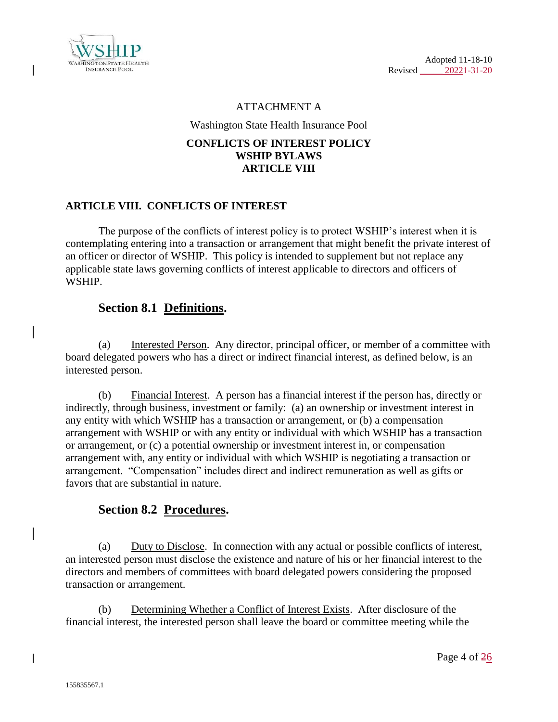

#### ATTACHMENT A

Washington State Health Insurance Pool

#### **CONFLICTS OF INTEREST POLICY WSHIP BYLAWS ARTICLE VIII**

### **ARTICLE VIII. CONFLICTS OF INTEREST**

The purpose of the conflicts of interest policy is to protect WSHIP's interest when it is contemplating entering into a transaction or arrangement that might benefit the private interest of an officer or director of WSHIP. This policy is intended to supplement but not replace any applicable state laws governing conflicts of interest applicable to directors and officers of WSHIP.

### **Section 8.1 Definitions.**

(a) Interested Person. Any director, principal officer, or member of a committee with board delegated powers who has a direct or indirect financial interest, as defined below, is an interested person.

(b) Financial Interest. A person has a financial interest if the person has, directly or indirectly, through business, investment or family: (a) an ownership or investment interest in any entity with which WSHIP has a transaction or arrangement, or (b) a compensation arrangement with WSHIP or with any entity or individual with which WSHIP has a transaction or arrangement, or (c) a potential ownership or investment interest in, or compensation arrangement with, any entity or individual with which WSHIP is negotiating a transaction or arrangement. "Compensation" includes direct and indirect remuneration as well as gifts or favors that are substantial in nature.

## **Section 8.2 Procedures.**

(a) Duty to Disclose. In connection with any actual or possible conflicts of interest, an interested person must disclose the existence and nature of his or her financial interest to the directors and members of committees with board delegated powers considering the proposed transaction or arrangement.

(b) Determining Whether a Conflict of Interest Exists. After disclosure of the financial interest, the interested person shall leave the board or committee meeting while the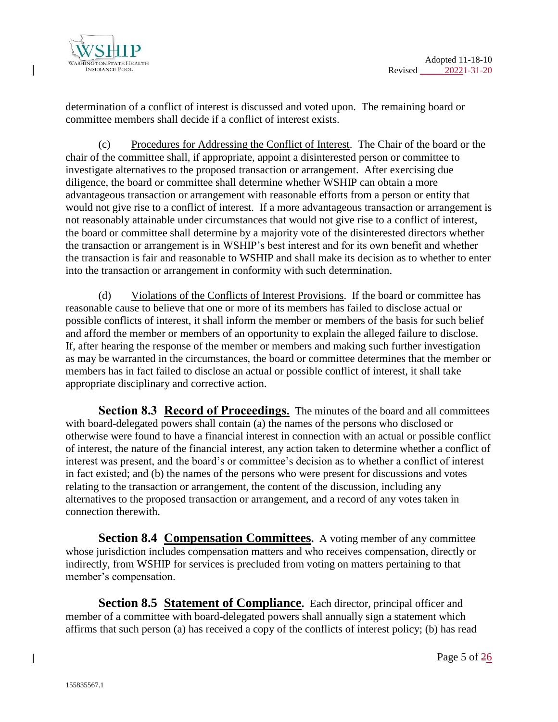

determination of a conflict of interest is discussed and voted upon. The remaining board or committee members shall decide if a conflict of interest exists.

(c) Procedures for Addressing the Conflict of Interest. The Chair of the board or the chair of the committee shall, if appropriate, appoint a disinterested person or committee to investigate alternatives to the proposed transaction or arrangement. After exercising due diligence, the board or committee shall determine whether WSHIP can obtain a more advantageous transaction or arrangement with reasonable efforts from a person or entity that would not give rise to a conflict of interest. If a more advantageous transaction or arrangement is not reasonably attainable under circumstances that would not give rise to a conflict of interest, the board or committee shall determine by a majority vote of the disinterested directors whether the transaction or arrangement is in WSHIP's best interest and for its own benefit and whether the transaction is fair and reasonable to WSHIP and shall make its decision as to whether to enter into the transaction or arrangement in conformity with such determination.

(d) Violations of the Conflicts of Interest Provisions. If the board or committee has reasonable cause to believe that one or more of its members has failed to disclose actual or possible conflicts of interest, it shall inform the member or members of the basis for such belief and afford the member or members of an opportunity to explain the alleged failure to disclose. If, after hearing the response of the member or members and making such further investigation as may be warranted in the circumstances, the board or committee determines that the member or members has in fact failed to disclose an actual or possible conflict of interest, it shall take appropriate disciplinary and corrective action.

**Section 8.3 Record of Proceedings.** The minutes of the board and all committees with board-delegated powers shall contain (a) the names of the persons who disclosed or otherwise were found to have a financial interest in connection with an actual or possible conflict of interest, the nature of the financial interest, any action taken to determine whether a conflict of interest was present, and the board's or committee's decision as to whether a conflict of interest in fact existed; and (b) the names of the persons who were present for discussions and votes relating to the transaction or arrangement, the content of the discussion, including any alternatives to the proposed transaction or arrangement, and a record of any votes taken in connection therewith.

**Section 8.4 Compensation Committees.** A voting member of any committee whose jurisdiction includes compensation matters and who receives compensation, directly or indirectly, from WSHIP for services is precluded from voting on matters pertaining to that member's compensation.

**Section 8.5 Statement of Compliance.** Each director, principal officer and member of a committee with board-delegated powers shall annually sign a statement which affirms that such person (a) has received a copy of the conflicts of interest policy; (b) has read